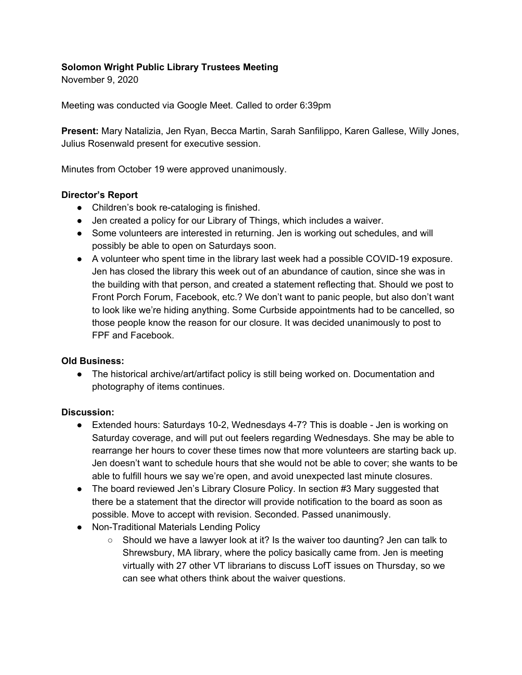# **Solomon Wright Public Library Trustees Meeting**

November 9, 2020

Meeting was conducted via Google Meet. Called to order 6:39pm

**Present:** Mary Natalizia, Jen Ryan, Becca Martin, Sarah Sanfilippo, Karen Gallese, Willy Jones, Julius Rosenwald present for executive session.

Minutes from October 19 were approved unanimously.

### **Director's Report**

- Children's book re-cataloging is finished.
- Jen created a policy for our Library of Things, which includes a waiver.
- Some volunteers are interested in returning. Jen is working out schedules, and will possibly be able to open on Saturdays soon.
- A volunteer who spent time in the library last week had a possible COVID-19 exposure. Jen has closed the library this week out of an abundance of caution, since she was in the building with that person, and created a statement reflecting that. Should we post to Front Porch Forum, Facebook, etc.? We don't want to panic people, but also don't want to look like we're hiding anything. Some Curbside appointments had to be cancelled, so those people know the reason for our closure. It was decided unanimously to post to FPF and Facebook.

### **Old Business:**

• The historical archive/art/artifact policy is still being worked on. Documentation and photography of items continues.

#### **Discussion:**

- Extended hours: Saturdays 10-2, Wednesdays 4-7? This is doable Jen is working on Saturday coverage, and will put out feelers regarding Wednesdays. She may be able to rearrange her hours to cover these times now that more volunteers are starting back up. Jen doesn't want to schedule hours that she would not be able to cover; she wants to be able to fulfill hours we say we're open, and avoid unexpected last minute closures.
- The board reviewed Jen's Library Closure Policy. In section #3 Mary suggested that there be a statement that the director will provide notification to the board as soon as possible. Move to accept with revision. Seconded. Passed unanimously.
- Non-Traditional Materials Lending Policy
	- $\circ$  Should we have a lawyer look at it? Is the waiver too daunting? Jen can talk to Shrewsbury, MA library, where the policy basically came from. Jen is meeting virtually with 27 other VT librarians to discuss LofT issues on Thursday, so we can see what others think about the waiver questions.